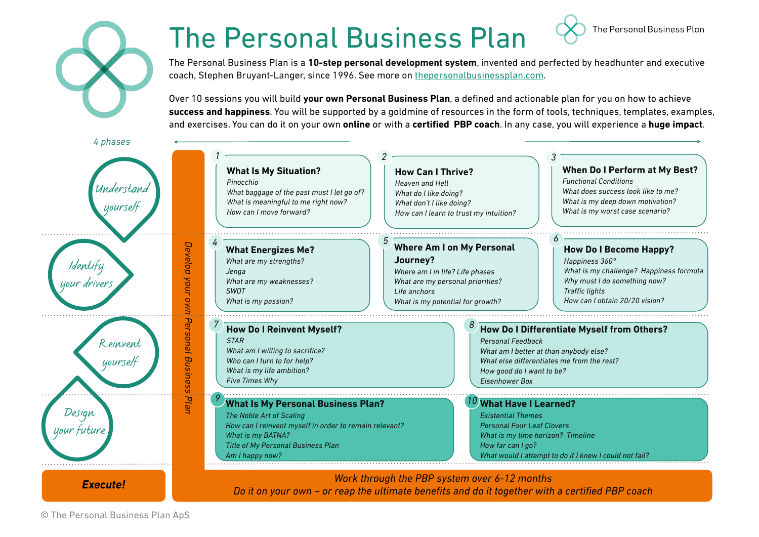## The Personal Business Plan

The Personal Business Plan is a **10-step personal development system**, invented and perfected by headhunter and executive coach, Stephen Bruyant-Langer, since 1996. See more on thepersonalbusinessplan.com.

The Personal Business Plan

Over 10 sessions you will build **your own Personal Business Plan**, a defined and actionable plan for you on how to achieve **success and happiness**. You will be supported by a goldmine of resources in the form of tools, techniques, templates, examples, and exercises. You can do it on your own **online** or with a **certified PBP coach**. In any case, you will experience a **huge impact**.